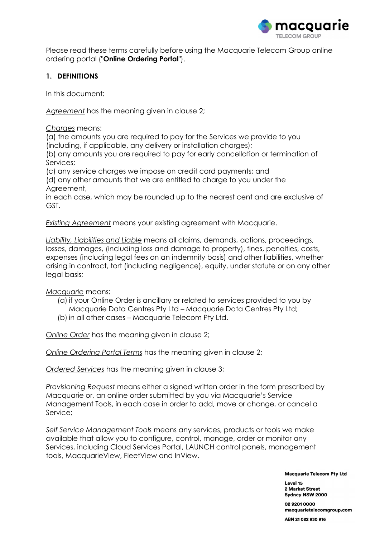

Please read these terms carefully before using the Macquarie Telecom Group online ordering portal ("Online Ordering Portal").

## 1. DEFINITIONS

In this document:

Agreement has the meaning given in clause 2;

Charges means:

(a) the amounts you are required to pay for the Services we provide to you (including, if applicable, any delivery or installation charges);

(b) any amounts you are required to pay for early cancellation or termination of Services;

(c) any service charges we impose on credit card payments; and

(d) any other amounts that we are entitled to charge to you under the Agreement,

in each case, which may be rounded up to the nearest cent and are exclusive of GST.

Existing Agreement means your existing agreement with Macquarie.

Liability, Liabilities and Liable means all claims, demands, actions, proceedings, losses, damages, (including loss and damage to property), fines, penalties, costs, expenses (including legal fees on an indemnity basis) and other liabilities, whether arising in contract, tort (including negligence), equity, under statute or on any other legal basis;

Macquarie means:

- (a) if your Online Order is ancillary or related to services provided to you by Macquarie Data Centres Pty Ltd – Macquarie Data Centres Pty Ltd;
- (b) in all other cases Macquarie Telecom Pty Ltd.

Online Order has the meaning given in clause 2;

Online Ordering Portal Terms has the meaning given in clause 2;

Ordered Services has the meaning given in clause 3;

Provisioning Request means either a signed written order in the form prescribed by Macquarie or, an online order submitted by you via Macquarie's Service Management Tools, in each case in order to add, move or change, or cancel a Service;

Self Service Management Tools means any services, products or tools we make available that allow you to configure, control, manage, order or monitor any Services, including Cloud Services Portal, LAUNCH control panels, management tools, MacquarieView, FleetView and InView.

**Macquarie Telecom Pty Ltd** 

Level 15 2 Market Street Sydney NSW 2000

02 9201 0000 macquarietelecomgroup.com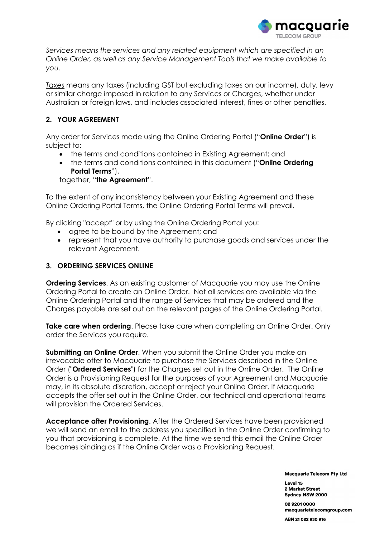

Services means the services and any related equipment which are specified in an Online Order, as well as any Service Management Tools that we make available to you.

Taxes means any taxes (including GST but excluding taxes on our income), duty, levy or similar charge imposed in relation to any Services or Charges, whether under Australian or foreign laws, and includes associated interest, fines or other penalties.

# 2. YOUR AGREEMENT

Any order for Services made using the Online Ordering Portal ("Online Order") is subject to:

- the terms and conditions contained in Existing Agreement; and
- the terms and conditions contained in this document ("**Online Ordering** Portal Terms"),

together, "the Agreement".

To the extent of any inconsistency between your Existing Agreement and these Online Ordering Portal Terms, the Online Ordering Portal Terms will prevail.

By clicking "accept" or by using the Online Ordering Portal you:

- agree to be bound by the Agreement; and
- represent that you have authority to purchase goods and services under the relevant Agreement.

## 3. ORDERING SERVICES ONLINE

**Ordering Services.** As an existing customer of Macquarie you may use the Online Ordering Portal to create an Online Order. Not all services are available via the Online Ordering Portal and the range of Services that may be ordered and the Charges payable are set out on the relevant pages of the Online Ordering Portal.

**Take care when ordering.** Please take care when completing an Online Order. Only order the Services you require.

Submitting an Online Order. When you submit the Online Order you make an irrevocable offer to Macquarie to purchase the Services described in the Online Order ("**Ordered Services**") for the Charges set out in the Online Order. The Online Order is a Provisioning Request for the purposes of your Agreement and Macquarie may, in its absolute discretion, accept or reject your Online Order. If Macquarie accepts the offer set out in the Online Order, our technical and operational teams will provision the Ordered Services.

Acceptance after Provisioning. After the Ordered Services have been provisioned we will send an email to the address you specified in the Online Order confirming to you that provisioning is complete. At the time we send this email the Online Order becomes binding as if the Online Order was a Provisioning Request.

**Macquarie Telecom Pty Ltd** 

Level 15 2 Market Street Sydney NSW 2000

02 9201 0000 macquarietelecomgroup.com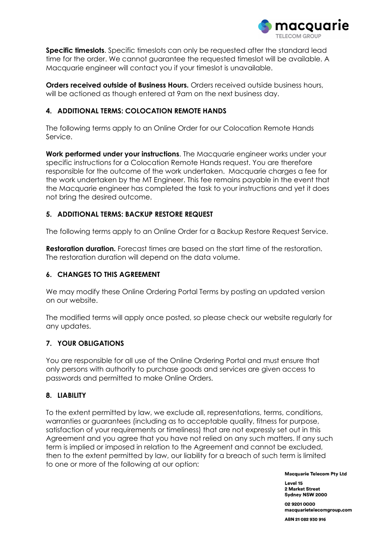

Specific timeslots. Specific timeslots can only be requested after the standard lead time for the order. We cannot guarantee the requested timeslot will be available. A Macquarie engineer will contact you if your timeslot is unavailable.

Orders received outside of Business Hours. Orders received outside business hours, will be actioned as though entered at 9am on the next business day.

## 4. ADDITIONAL TERMS: COLOCATION REMOTE HANDS

The following terms apply to an Online Order for our Colocation Remote Hands Service.

Work performed under your instructions. The Macquarie engineer works under your specific instructions for a Colocation Remote Hands request. You are therefore responsible for the outcome of the work undertaken. Macquarie charges a fee for the work undertaken by the MT Engineer. This fee remains payable in the event that the Macquarie engineer has completed the task to your instructions and yet it does not bring the desired outcome.

#### 5. ADDITIONAL TERMS: BACKUP RESTORE REQUEST

The following terms apply to an Online Order for a Backup Restore Request Service.

**Restoration duration.** Forecast times are based on the start time of the restoration. The restoration duration will depend on the data volume.

#### 6. CHANGES TO THIS AGREEMENT

We may modify these Online Ordering Portal Terms by posting an updated version on our website.

The modified terms will apply once posted, so please check our website regularly for any updates.

## 7. YOUR OBLIGATIONS

You are responsible for all use of the Online Ordering Portal and must ensure that only persons with authority to purchase goods and services are given access to passwords and permitted to make Online Orders.

#### 8. LIABILITY

To the extent permitted by law, we exclude all, representations, terms, conditions, warranties or guarantees (including as to acceptable quality, fitness for purpose, satisfaction of your requirements or timeliness) that are not expressly set out in this Agreement and you agree that you have not relied on any such matters. If any such term is implied or imposed in relation to the Agreement and cannot be excluded, then to the extent permitted by law, our liability for a breach of such term is limited to one or more of the following at our option:

**Macquarie Telecom Pty Ltd** 

Level 15 2 Market Street Sydney NSW 2000

02 9201 0000 macquarietelecomgroup.com